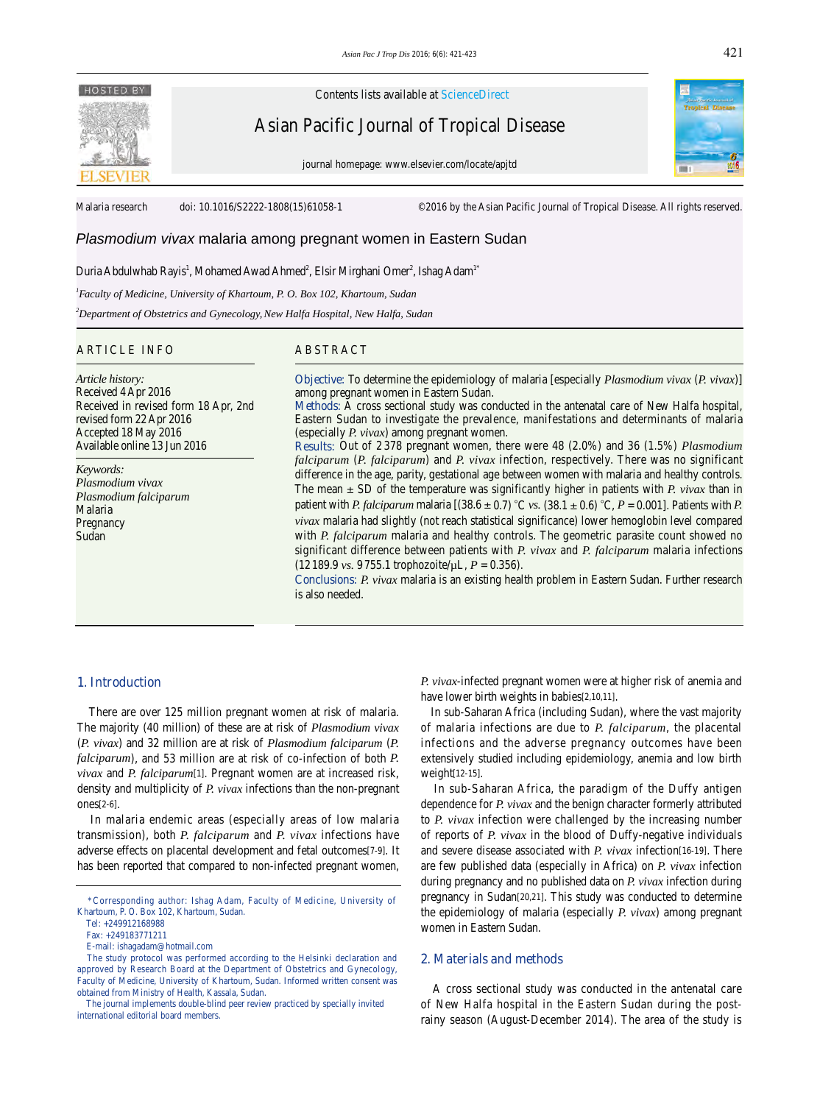# **HOSTED BY**

Contents lists available at ScienceDirect

Asian Pacific Journal of Tropical Disease

journal homepage: www.elsevier.com/locate/apjtd



Malaria research doi: 10.1016/S2222-1808(15)61058-1 ©2016 by the Asian Pacific Journal of Tropical Disease. All rights reserved.

# *Plasmodium vivax* malaria among pregnant women in Eastern Sudan

#### Duria Abdulwhab Rayis<sup>1</sup>, Mohamed Awad Ahmed<sup>2</sup>, Elsir Mirghani Omer<sup>2</sup>, Ishag Adam<sup>1\*</sup>

*1 Faculty of Medicine, University of Khartoum, P. O. Box 102, Khartoum, Sudan*

*2 Department of Obstetrics and Gynecology,New Halfa Hospital, New Halfa, Sudan* 

### ARTICLE INFO ABSTRACT

*Article history:* Received 4 Apr 2016 Received in revised form 18 Apr, 2nd revised form 22 Apr 2016 Accepted 18 May 2016 Available online 13 Jun 2016

*Keywords: Plasmodium vivax Plasmodium falciparum* Malaria **Pregnancy** Sudan

## **Objective:** To determine the epidemiology of malaria [especially *Plasmodium vivax* (*P. vivax*)] among pregnant women in Eastern Sudan.

**Methods:** A cross sectional study was conducted in the antenatal care of New Halfa hospital, Eastern Sudan to investigate the prevalence, manifestations and determinants of malaria (especially *P. vivax*) among pregnant women.

**Results:** Out of 2 378 pregnant women, there were 48 (2.0%) and 36 (1.5%) *Plasmodium falciparum* (*P. falciparum*) and *P. vivax* infection, respectively. There was no significant difference in the age, parity, gestational age between women with malaria and healthy controls. The mean ± SD of the temperature was significantly higher in patients with *P. vivax* than in patient with *P. falciparum* malaria  $[(38.6 \pm 0.7) °C$  *vs.*  $(38.1 \pm 0.6) °C$ ,  $P = 0.001$ . Patients with *P. vivax* malaria had slightly (not reach statistical significance) lower hemoglobin level compared with *P. falciparum* malaria and healthy controls. The geometric parasite count showed no significant difference between patients with *P. vivax* and *P. falciparum* malaria infections (12189.9 *vs.* 9755.1 trophozoite/µL, *P* = 0.356).

**Conclusions:** *P. vivax* malaria is an existing health problem in Eastern Sudan. Further research is also needed.

#### **1. Introduction**

 There are over 125 million pregnant women at risk of malaria. The majority (40 million) of these are at risk of *Plasmodium vivax*  (*P. vivax*) and 32 million are at risk of *Plasmodium falciparum* (*P. falciparum*), and 53 million are at risk of co-infection of both *P. vivax* and *P. falciparum*[1]. Pregnant women are at increased risk, density and multiplicity of *P. vivax* infections than the non-pregnant ones[2-6].

 In malaria endemic areas (especially areas of low malaria transmission), both *P. falciparum* and *P. vivax* infections have adverse effects on placental development and fetal outcomes[7-9]. It has been reported that compared to non-infected pregnant women,

*P. vivax*-infected pregnant women were at higher risk of anemia and have lower birth weights in babies[2,10,11].

 In sub-Saharan Africa (including Sudan), where the vast majority of malaria infections are due to *P. falciparum*, the placental infections and the adverse pregnancy outcomes have been extensively studied including epidemiology, anemia and low birth weight[12-15].

 In sub-Saharan Africa, the paradigm of the Duffy antigen dependence for *P. vivax* and the benign character formerly attributed to *P. vivax* infection were challenged by the increasing number of reports of *P. vivax* in the blood of Duffy-negative individuals and severe disease associated with *P. vivax* infection[16-19]. There are few published data (especially in Africa) on *P. vivax* infection during pregnancy and no published data on *P. vivax* infection during pregnancy in Sudan[20,21]. This study was conducted to determine the epidemiology of malaria (especially *P. vivax*) among pregnant women in Eastern Sudan.

### **2. Materials and methods**

 A cross sectional study was conducted in the antenatal care of New Halfa hospital in the Eastern Sudan during the postrainy season (August-December 2014). The area of the study is

 <sup>\*</sup>Corresponding author: Ishag Adam, Faculty of Medicine, University of Khartoum, P. O. Box 102, Khartoum, Sudan.

Tel: +249912168988

Fax: +249183771211

E-mail: ishagadam@hotmail.com

The study protocol was performed according to the Helsinki declaration and approved by Research Board at the Department of Obstetrics and Gynecology, Faculty of Medicine, University of Khartoum, Sudan. Informed written consent was obtained from Ministry of Health, Kassala, Sudan.

The journal implements double-blind peer review practiced by specially invited international editorial board members.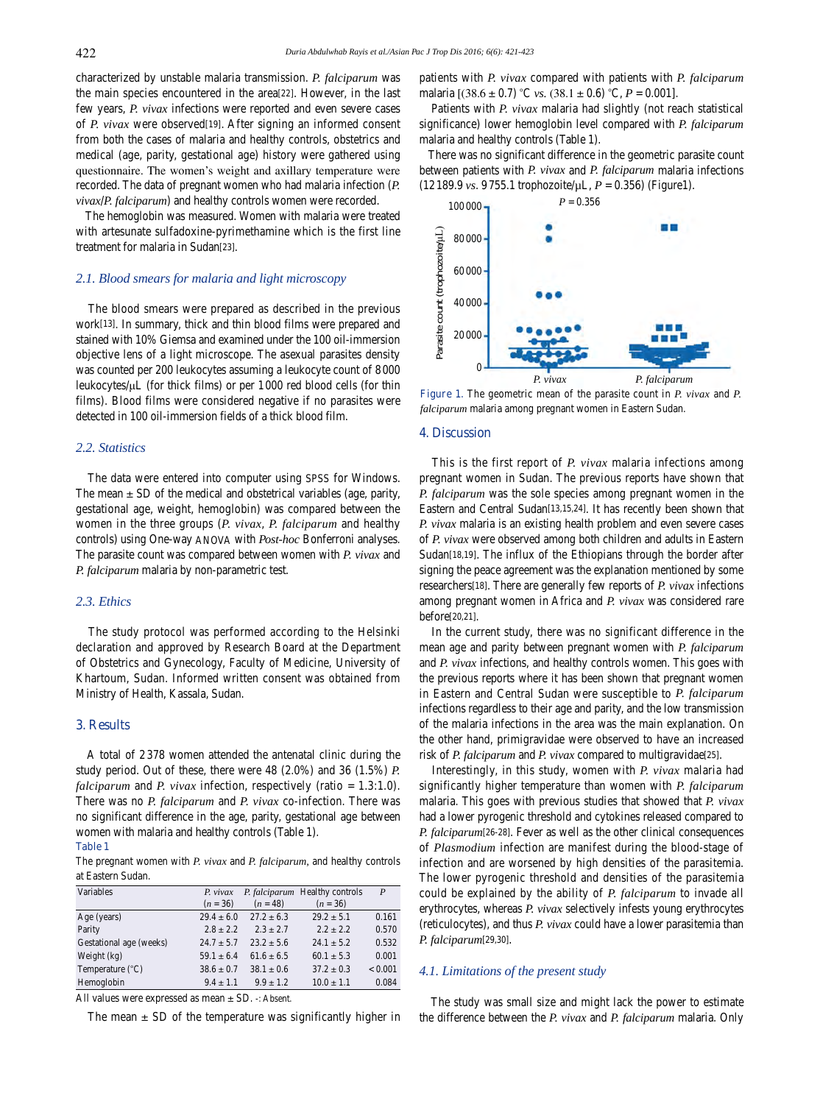characterized by unstable malaria transmission. *P. falciparum* was the main species encountered in the area[22]. However, in the last few years, *P. vivax* infections were reported and even severe cases of *P. vivax* were observed[19]. After signing an informed consent from both the cases of malaria and healthy controls, obstetrics and medical (age, parity, gestational age) history were gathered using questionnaire. The women's weight and axillary temperature were recorded. The data of pregnant women who had malaria infection (*P. vivax*/*P. falciparum*) and healthy controls women were recorded.

 The hemoglobin was measured. Women with malaria were treated with artesunate sulfadoxine-pyrimethamine which is the first line treatment for malaria in Sudan[23].

#### *2.1. Blood smears for malaria and light microscopy*

 The blood smears were prepared as described in the previous work[13]. In summary, thick and thin blood films were prepared and stained with 10% Giemsa and examined under the 100 oil-immersion objective lens of a light microscope. The asexual parasites density was counted per 200 leukocytes assuming a leukocyte count of 8000 leukocytes/μL (for thick films) or per 1000 red blood cells (for thin films). Blood films were considered negative if no parasites were detected in 100 oil-immersion fields of a thick blood film.

#### *2.2. Statistics*

 The data were entered into computer using SPSS for Windows. The mean  $\pm$  SD of the medical and obstetrical variables (age, parity, gestational age, weight, hemoglobin) was compared between the women in the three groups (*P. vivax*, *P. falciparum* and healthy controls) using One-way ANOVA with *Post-hoc* Bonferroni analyses. The parasite count was compared between women with *P. vivax* and *P. falciparum* malaria by non-parametric test.

#### *2.3. Ethics*

 The study protocol was performed according to the Helsinki declaration and approved by Research Board at the Department of Obstetrics and Gynecology, Faculty of Medicine, University of Khartoum, Sudan. Informed written consent was obtained from Ministry of Health, Kassala, Sudan.

#### **3. Results**

 A total of 2 378 women attended the antenatal clinic during the study period. Out of these, there were 48 (2.0%) and 36 (1.5%) *P. falciparum* and *P. vivax* infection, respectively (ratio = 1.3:1.0). There was no *P. falciparum* and *P. vivax* co-infection. There was no significant difference in the age, parity, gestational age between women with malaria and healthy controls (Table 1).

#### **Table 1**

The pregnant women with *P. vivax* and *P. falciparum,* and healthy controls at Eastern Sudan.

| Variables                 | P. vivax       |                | P. falciparum Healthy controls | P       |
|---------------------------|----------------|----------------|--------------------------------|---------|
|                           | $(n = 36)$     | $(n = 48)$     | $(n = 36)$                     |         |
| Age (years)               | $29.4 \pm 6.0$ | $27.2 \pm 6.3$ | $29.2 \pm 5.1$                 | 0.161   |
| Parity                    | $2.8 \pm 2.2$  | $2.3 + 2.7$    | $2.2 + 2.2$                    | 0.570   |
| Gestational age (weeks)   | $24.7 \pm 5.7$ | $23.2 \pm 5.6$ | $24.1 \pm 5.2$                 | 0.532   |
| Weight $(kg)$             | $59.1 \pm 6.4$ | $61.6 \pm 6.5$ | $60.1 \pm 5.3$                 | 0.001   |
| Temperature $(^{\circ}C)$ | $38.6 \pm 0.7$ | $38.1 \pm 0.6$ | $37.2 \pm 0.3$                 | < 0.001 |
| Hemoglobin                | $9.4 \pm 1.1$  | $9.9 \pm 1.2$  | $10.0 \pm 1.1$                 | 0.084   |

All values were expressed as mean ± SD. -: Absent.

The mean  $\pm$  SD of the temperature was significantly higher in

patients with *P. vivax* compared with patients with *P. falciparum* malaria  $[(38.6 \pm 0.7) °C$  *vs.*  $(38.1 \pm 0.6) °C$ ,  $P = 0.001$ .

 Patients with *P. vivax* malaria had slightly (not reach statistical significance) lower hemoglobin level compared with *P. falciparum* malaria and healthy controls (Table 1).

 There was no significant difference in the geometric parasite count between patients with *P. vivax* and *P. falciparum* malaria infections (12189.9 *vs*. 9755.1 trophozoite/µL, *P* = 0.356) (Figure1).



**Figure 1.** The geometric mean of the parasite count in *P. vivax* and *P. falciparum* malaria among pregnant women in Eastern Sudan.

#### **4. Discussion**

 This is the first report of *P. vivax* malaria infections among pregnant women in Sudan. The previous reports have shown that *P. falciparum* was the sole species among pregnant women in the Eastern and Central Sudan[13,15,24]. It has recently been shown that *P. vivax* malaria is an existing health problem and even severe cases of *P. vivax* were observed among both children and adults in Eastern Sudan<sup>[18,19]</sup>. The influx of the Ethiopians through the border after signing the peace agreement was the explanation mentioned by some researchers[18]. There are generally few reports of *P. vivax* infections among pregnant women in Africa and *P. vivax* was considered rare before[20,21].

 In the current study, there was no significant difference in the mean age and parity between pregnant women with *P. falciparum* and *P. vivax* infections, and healthy controls women. This goes with the previous reports where it has been shown that pregnant women in Eastern and Central Sudan were susceptible to *P. falciparum* infections regardless to their age and parity, and the low transmission of the malaria infections in the area was the main explanation. On the other hand, primigravidae were observed to have an increased risk of *P. falciparum* and *P. vivax* compared to multigravidae[25].

 Interestingly, in this study, women with *P. vivax* malaria had significantly higher temperature than women with *P. falciparum* malaria. This goes with previous studies that showed that *P. vivax* had a lower pyrogenic threshold and cytokines released compared to *P. falciparum*[26-28]. Fever as well as the other clinical consequences of *Plasmodium* infection are manifest during the blood-stage of infection and are worsened by high densities of the parasitemia. The lower pyrogenic threshold and densities of the parasitemia could be explained by the ability of *P. falciparum* to invade all erythrocytes, whereas *P. vivax* selectively infests young erythrocytes (reticulocytes), and thus *P. vivax* could have a lower parasitemia than *P. falciparum*[29,30].

#### *4.1. Limitations of the present study*

 The study was small size and might lack the power to estimate the difference between the *P. vivax* and *P. falciparum* malaria. Only